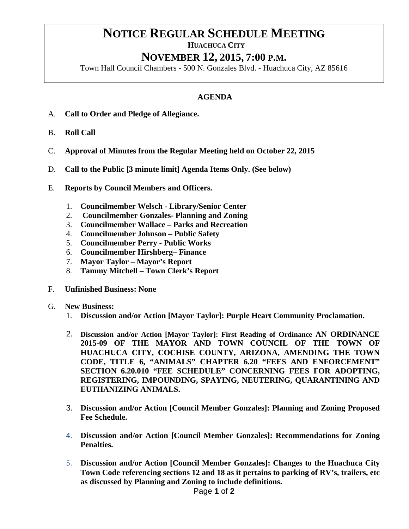## **NOTICE REGULAR SCHEDULE MEETING**<br>HUACHUCA CITY

## **NOVEMBER 12, 2015, 7:00 P.M.**

Town Hall Council Chambers - 500 N. Gonzales Blvd. - Huachuca City, AZ 85616

## **AGENDA**

- A. **Call to Order and Pledge of Allegiance.**
- B. **Roll Call**
- C. **Approval of Minutes from the Regular Meeting held on October 22, 2015**
- D. **Call to the Public [3 minute limit] Agenda Items Only. (See below)**
- E. **Reports by Council Members and Officers.**
	- 1. **Councilmember Welsch - Library/Senior Center**
	- 2. **Councilmember Gonzales- Planning and Zoning**
	- 3. **Councilmember Wallace – Parks and Recreation**
	- 4. **Councilmember Johnson – Public Safety**
	- 5. **Councilmember Perry - Public Works**
	- 6. **Councilmember Hirshberg– Finance**
	- 7. **Mayor Taylor – Mayor's Report**
	- 8. **Tammy Mitchell – Town Clerk's Report**
- F. **Unfinished Business: None**
- G. **New Business:**
	- 1. **Discussion and/or Action [Mayor Taylor]: Purple Heart Community Proclamation.**
	- 2. **Discussion and/or Action [Mayor Taylor]: First Reading of Ordinance AN ORDINANCE 2015-09 OF THE MAYOR AND TOWN COUNCIL OF THE TOWN OF HUACHUCA CITY, COCHISE COUNTY, ARIZONA, AMENDING THE TOWN CODE, TITLE 6, "ANIMALS" CHAPTER 6.20 "FEES AND ENFORCEMENT" SECTION 6.20.010 "FEE SCHEDULE" CONCERNING FEES FOR ADOPTING, REGISTERING, IMPOUNDING, SPAYING, NEUTERING, QUARANTINING AND EUTHANIZING ANIMALS.**
	- 3. **Discussion and/or Action [Council Member Gonzales]: Planning and Zoning Proposed Fee Schedule.**
	- 4. **Discussion and/or Action [Council Member Gonzales]: Recommendations for Zoning Penalties.**
	- 5. **Discussion and/or Action [Council Member Gonzales]: Changes to the Huachuca City Town Code referencing sections 12 and 18 as it pertains to parking of RV's, trailers, etc as discussed by Planning and Zoning to include definitions.**